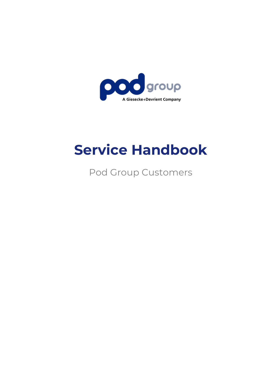

# **Service Handbook**

Pod Group Customers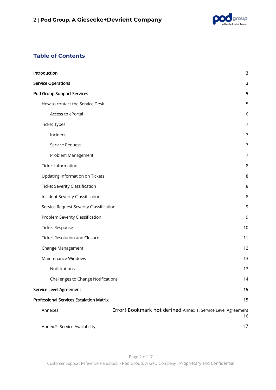

## **Table of Contents**

| Introduction                                   |                                                              | 3  |
|------------------------------------------------|--------------------------------------------------------------|----|
| <b>Service Operations</b>                      |                                                              | 3  |
| <b>Pod Group Support Services</b>              |                                                              | 5  |
| How to contact the Service Desk                |                                                              | 5  |
| Access to ePortal                              |                                                              | 6  |
| <b>Ticket Types</b>                            |                                                              | 7  |
| Incident                                       |                                                              | 7  |
| Service Request                                |                                                              | 7  |
| Problem Management                             |                                                              | 7  |
| <b>Ticket Information</b>                      |                                                              | 8  |
| Updating Information on Tickets                |                                                              | 8  |
| <b>Ticket Severity Classification</b>          |                                                              | 8  |
| Incident Severity Classification               |                                                              | 8  |
| Service Request Severity Classification        |                                                              | 9  |
| Problem Severity Classification                |                                                              | 9  |
| <b>Ticket Response</b>                         |                                                              | 10 |
| <b>Ticket Resolution and Closure</b>           |                                                              | 11 |
| Change Management                              |                                                              | 12 |
| Maintenance Windows                            |                                                              | 13 |
| Notifications                                  |                                                              | 13 |
| Challenges to Change Notifications             |                                                              | 14 |
| Service Level Agreement                        |                                                              | 15 |
| <b>Professional Services Escalation Matrix</b> |                                                              | 15 |
| Annexes                                        | Error! Bookmark not defined.Annex 1. Service Level Agreement | 16 |
| Annex 2. Service Availability                  |                                                              | 17 |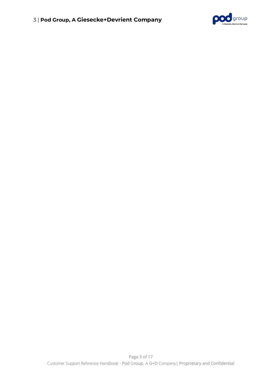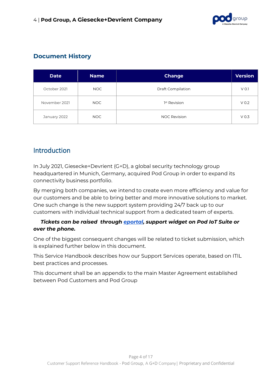

## **Document History**

| <b>Date</b>   | <b>Name</b> | <b>Change</b>            | <b>Version</b>   |
|---------------|-------------|--------------------------|------------------|
| October 2021  | <b>NOC</b>  | <b>Draft Compilation</b> | V <sub>0.1</sub> |
| November 2021 | <b>NOC</b>  | 1 <sup>st</sup> Revision | V <sub>0.2</sub> |
| January 2022  | <b>NOC</b>  | <b>NOC Revision</b>      | V <sub>0.3</sub> |

# <span id="page-3-0"></span>Introduction

In July 2021, Giesecke+Devrient (G+D), a global security technology group headquartered in Munich, Germany, acquired Pod Group in order to expand its connectivity business portfolio.

By merging both companies, we intend to create even more efficiency and value for our customers and be able to bring better and more innovative solutions to market. One such change is the new support system providing 24/7 back up to our customers with individual technical support from a dedicated team of experts.

## *Tickets can be raised through [eportal,](https://gdmsps-portal.gi-de.com/ePortal/) support widget on Pod IoT Suite or over the phone.*

One of the biggest consequent changes will be related to ticket submission, which is explained further below in this document.

This Service Handbook describes how our Support Services operate, based on ITIL best practices and processes.

<span id="page-3-1"></span>This document shall be an appendix to the main Master Agreement established between Pod Customers and Pod Group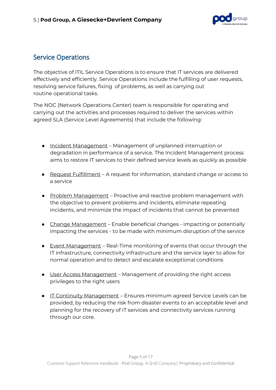

# Service Operations

The objective of ITIL Service Operations is to ensure that IT services are delivered effectively and efficiently. Service Operations include the fulfilling of user requests, resolving service failures, fixing of problems, as well as carrying out routine operational tasks.

The NOC (Network Operations Center) team is responsible for operating and carrying out the activities and processes required to deliver the services within agreed SLA (Service Level Agreements) that include the following:

- Incident Management Management of unplanned interruption or degradation in performance of a service. The Incident Management process aims to restore IT services to their defined service levels as quickly as possible
- Request Fulfillment A request for information, standard change or access to a service
- Problem Management Proactive and reactive problem management with the objective to prevent problems and incidents, eliminate repeating incidents, and minimize the impact of incidents that cannot be prevented
- Change Management Enable beneficial changes impacting or potentially impacting the services - to be made with minimum disruption of the service
- Event Management Real-Time monitoring of events that occur through the IT infrastructure, connectivity infrastructure and the service layer to allow for normal operation and to detect and escalate exceptional conditions
- User Access Management Management of providing the right access privileges to the right users
- IT Continuity Management Ensures minimum agreed Service Levels can be provided, by reducing the risk from disaster events to an acceptable level and planning for the recovery of IT services and connectivity services running through our core.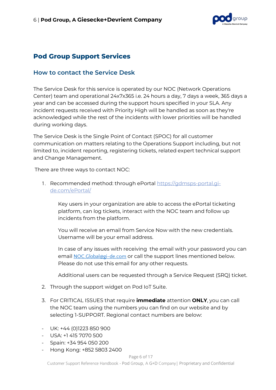

# <span id="page-5-0"></span>Pod Group Support Services

## <span id="page-5-1"></span>How to contact the Service Desk

The Service Desk for this service is operated by our NOC (Network Operations Center) team and operational 24x7x365 i.e. 24 hours a day, 7 days a week, 365 days a year and can be accessed during the support hours specified in your SLA. Any incident requests received with Priority High will be handled as soon as they're acknowledged while the rest of the incidents with lower priorities will be handled during working days.

The Service Desk is the Single Point of Contact (SPOC) for all customer communication on matters relating to the Operations Support including, but not limited to, incident reporting, registering tickets, related expert technical support and Change Management.

There are three ways to contact NOC:

1. Recommended method: through ePortal [https://gdmsps-portal.gi](https://gdmsps-portal.gi-de.com/ePortal/)[de.com/ePortal/](https://gdmsps-portal.gi-de.com/ePortal/)

Key users in your organization are able to access the ePortal ticketing platform, can log tickets, interact with the NOC team and follow up incidents from the platform.

You will receive an email from Service Now with the new credentials. Username will be your email address.

In case of any issues with receiving the email with your password you can email [NOC.Global@gi-de.com](mailto:NOC.Global@gi-de.com) or call the support lines mentioned below. Please do not use this email for any other requests.

Additional users can be requested through a Service Request (SRQ) ticket.

- 2. Through the support widget on Pod IoT Suite.
- 3. For CRITICAL ISSUES that require **immediate** attention **ONLY**, you can call the NOC team using the numbers you can find on our website and by selecting 1-SUPPORT. Regional contact numbers are below:
- UK: +44 (0)1223 850 900
- USA: +1 415 7070 500
- Spain: +34 954 050 200
- Hong Kong: +852 5803 2400

Customer Support Reference Handbook - Pod Group, A G+D Company| Proprietary and Confidential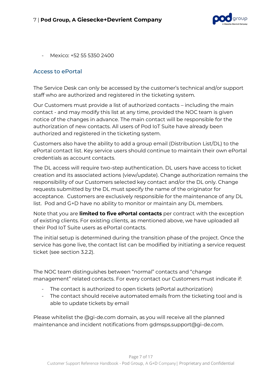

- Mexico: +52 55 5350 2400

#### <span id="page-6-0"></span>Access to ePortal

The Service Desk can only be accessed by the customer's technical and/or support staff who are authorized and registered in the ticketing system.

Our Customers must provide a list of authorized contacts – including the main contact - and may modify this list at any time, provided the NOC team is given notice of the changes in advance. The main contact will be responsible for the authorization of new contacts. All users of Pod IoT Suite have already been authorized and registered in the ticketing system.

Customers also have the ability to add a group email (Distribution List/DL) to the ePortal contact list. Key service users should continue to maintain their own ePortal credentials as account contacts.

The DL access will require two-step authentication. DL users have access to ticket creation and its associated actions (view/update). Change authorization remains the responsibility of our Customers selected key contact and/or the DL only. Change requests submitted by the DL must specify the name of the originator for acceptance. Customers are exclusively responsible for the maintenance of any DL list. Pod and G+D have no ability to monitor or maintain any DL members.

Note that you are **limited to five ePortal contacts** per contract with the exception of existing clients. For existing clients, as mentioned above, we have uploaded all their Pod IoT Suite users as ePortal contacts.

The initial setup is determined during the transition phase of the project. Once the service has gone live, the contact list can be modified by initiating a service request ticket (see section 3.2.2).

The NOC team distinguishes between "normal" contacts and "change management" related contacts. For every contact our Customers must indicate if:

- The contact is authorized to open tickets (ePortal authorization)
- The contact should receive automated emails from the ticketing tool and is able to update tickets by email

Please whitelist the @gi-de.com domain, as you will receive all the planned maintenance and incident notifications from [gdmsps.support@gi-de.com.](mailto:gdmsps.support@gi-de.com)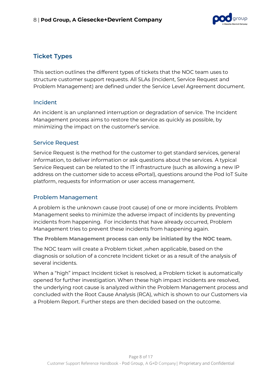

## <span id="page-7-0"></span>Ticket Types

This section outlines the different types of tickets that the NOC team uses to structure customer support requests. All SLAs (Incident, Service Request and Problem Management) are defined under the Service Level Agreement document.

## <span id="page-7-1"></span>Incident

An incident is an unplanned interruption or degradation of service. The Incident Management process aims to restore the service as quickly as possible, by minimizing the impact on the customer's service.

## <span id="page-7-2"></span>Service Request

Service Request is the method for the customer to get standard services, general information, to deliver information or ask questions about the services. A typical Service Request can be related to the IT infrastructure (such as allowing a new IP address on the customer side to access ePortal), questions around the Pod IoT Suite platform, requests for information or user access management.

## <span id="page-7-3"></span>Problem Management

A problem is the unknown cause (root cause) of one or more incidents. Problem Management seeks to minimize the adverse impact of incidents by preventing incidents from happening. For incidents that have already occurred, Problem Management tries to prevent these incidents from happening again.

**The Problem Management process can only be initiated by the NOC team.**

The NOC team will create a Problem ticket ,when applicable, based on the diagnosis or solution of a concrete Incident ticket or as a result of the analysis of several incidents.

When a "high" impact Incident ticket is resolved, a Problem ticket is automatically opened for further investigation. When these high impact incidents are resolved, the underlying root cause is analyzed within the Problem Management process and concluded with the Root Cause Analysis (RCA), which is shown to our Customers via a Problem Report. Further steps are then decided based on the outcome.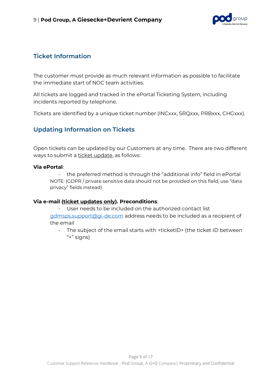

## <span id="page-8-0"></span>Ticket Information

The customer must provide as much relevant information as possible to facilitate the immediate start of NOC team activities.

All tickets are logged and tracked in the ePortal Ticketing System, including incidents reported by telephone.

Tickets are identified by a unique ticket number (INCxxx, SRQxxx, PRBxxx, CHGxxx).

## <span id="page-8-1"></span>Updating Information on Tickets

Open tickets can be updated by our Customers at any time. There are two different ways to submit a ticket update, as follows:

#### **Via ePortal**:

- the preferred method is through the "additional info" field in ePortal NOTE: (GDPR / private sensitive data should not be provided on this field, use "data privacy" fields instead)

#### **Via e-mail (ticket updates only). Preconditions**:

- User needs to be included on the authorized contact list [gdmsps.support@gi-de.com](mailto:gdmsps.support@gi-de.com) address needs to be included as a recipient of the email

- The subject of the email starts with +ticketID+ (the ticket ID between "+" signs)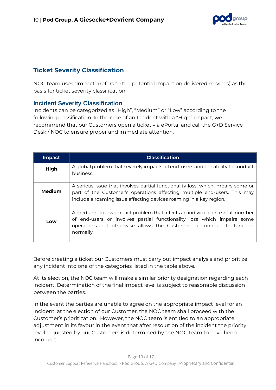

## <span id="page-9-0"></span>**Ticket Severity Classification**

NOC team uses "impact" (refers to the potential impact on delivered services) as the basis for ticket severity classification.

#### <span id="page-9-1"></span>**Incident Severity Classification**

Incidents can be categorized as "High", "Medium" or "Low" according to the following classification. In the case of an Incident with a "High" impact, we recommend that our Customers open a ticket via ePortal and call the G+D Service Desk / NOC to ensure proper and immediate attention.

| <b>Impact</b> | <b>Classification</b>                                                                                                                                                                                                                      |  |  |
|---------------|--------------------------------------------------------------------------------------------------------------------------------------------------------------------------------------------------------------------------------------------|--|--|
| High          | A global problem that severely impacts all end-users and the ability to conduct<br>business.                                                                                                                                               |  |  |
| Medium        | A serious issue that involves partial functionality loss, which impairs some or<br>part of the Customer's operations affecting multiple end-users. This may<br>include a roaming issue affecting devices roaming in a key region.          |  |  |
| Low           | A medium-to low-impact problem that affects an individual or a small number<br>of end-users or involves partial functionality loss which impairs some<br>operations but otherwise allows the Customer to continue to function<br>normally. |  |  |

Before creating a ticket our Customers must carry out impact analysis and prioritize any incident into one of the categories listed in the table above.

At its election, the NOC team will make a similar priority designation regarding each incident. Determination of the final impact level is subject to reasonable discussion between the parties.

In the event the parties are unable to agree on the appropriate impact level for an incident, at the election of our Customer, the NOC team shall proceed with the Customer's prioritization. However, the NOC team is entitled to an appropriate adjustment in its favour in the event that after resolution of the incident the priority level requested by our Customers is determined by the NOC team to have been incorrect.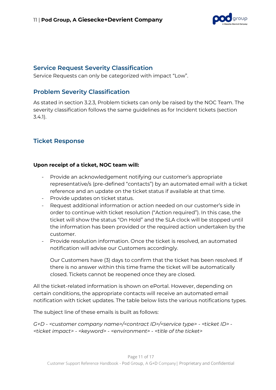

## <span id="page-10-0"></span>Service Request Severity Classification

Service Requests can only be categorized with impact "Low".

## <span id="page-10-1"></span>Problem Severity Classification

As stated in section 3.2.3, Problem tickets can only be raised by the NOC Team. The severity classification follows the same guidelines as for Incident tickets (section 3.4.1).

## <span id="page-10-2"></span>Ticket Response

#### **Upon receipt of a ticket, NOC team will:**

- Provide an acknowledgement notifying our customer's appropriate representative/s (pre-defined "contacts") by an automated email with a ticket reference and an update on the ticket status if available at that time.
- Provide updates on ticket status.
- Request additional information or action needed on our customer's side in order to continue with ticket resolution ("Action required"). In this case, the ticket will show the status "On Hold" and the SLA clock will be stopped until the information has been provided or the required action undertaken by the customer.
- Provide resolution information. Once the ticket is resolved, an automated notification will advise our Customers accordingly.

Our Customers have (3) days to confirm that the ticket has been resolved. If there is no answer within this time frame the ticket will be automatically closed. Tickets cannot be reopened once they are closed.

All the ticket-related information is shown on ePortal. However, depending on certain conditions, the appropriate contacts will receive an automated email notification with ticket updates. The table below lists the various notifications types.

The subject line of these emails is built as follows:

*G+D - <customer company name>/<contract ID>/<service type> - <ticket ID> - <ticket impact> - <keyword> - <environment> - <title of the ticket>*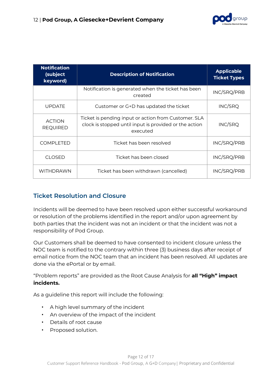

| <b>Notification</b><br>(subject<br>keyword) | <b>Description of Notification</b>                                                                                         | <b>Applicable</b><br><b>Ticket Types</b> |
|---------------------------------------------|----------------------------------------------------------------------------------------------------------------------------|------------------------------------------|
|                                             | Notification is generated when the ticket has been<br>created                                                              | INC/SRQ/PRB                              |
| <b>UPDATE</b>                               | Customer or G+D has updated the ticket                                                                                     | INC/SRQ                                  |
| <b>ACTION</b><br><b>REQUIRED</b>            | Ticket is pending input or action from Customer. SLA<br>clock is stopped until input is provided or the action<br>executed | INC/SRQ                                  |
| <b>COMPLETED</b>                            | Ticket has been resolved                                                                                                   | INC/SRQ/PRB                              |
| <b>CLOSED</b>                               | Ticket has been closed                                                                                                     | INC/SRQ/PRB                              |
| <b>WITHDRAWN</b>                            | Ticket has been withdrawn (cancelled)                                                                                      | INC/SRO/PRB                              |

# <span id="page-11-0"></span>Ticket Resolution and Closure

Incidents will be deemed to have been resolved upon either successful workaround or resolution of the problems identified in the report and/or upon agreement by both parties that the incident was not an incident or that the incident was not a responsibility of Pod Group.

Our Customers shall be deemed to have consented to incident closure unless the NOC team is notified to the contrary within three (3) business days after receipt of email notice from the NOC team that an incident has been resolved. All updates are done via the ePortal or by email.

"Problem reports" are provided as the Root Cause Analysis for **all "High" impact incidents.**

As a guideline this report will include the following:

- A high level summary of the incident
- An overview of the impact of the incident
- Details of root cause
- Proposed solution.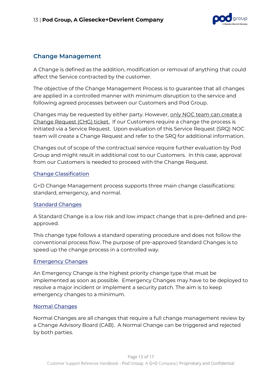

## <span id="page-12-0"></span>Change Management

A Change is defined as the addition, modification or removal of anything that could affect the Service contracted by the customer.

The objective of the Change Management Process is to guarantee that all changes are applied in a controlled manner with minimum disruption to the service and following agreed processes between our Customers and Pod Group.

Changes may be requested by either party. However, only NOC team can create a Change Request (CHG) ticket. If our Customers require a change the process is initiated via a Service Request. Upon evaluation of this Service Request (SRQ) NOC team will create a Change Request and refer to the SRQ for additional information.

Changes out of scope of the contractual service require further evaluation by Pod Group and might result in additional cost to our Customers. In this case, approval from our Customers is needed to proceed with the Change Request.

#### Change Classification

G+D Change Management process supports three main change classifications: standard, emergency, and normal.

#### Standard Changes

A Standard Change is a low risk and low impact change that is pre-defined and preapproved.

This change type follows a standard operating procedure and does not follow the conventional process flow. The purpose of pre-approved Standard Changes is to speed up the change process in a controlled way.

#### Emergency Changes

An Emergency Change is the highest priority change type that must be implemented as soon as possible. Emergency Changes may have to be deployed to resolve a major incident or implement a security patch. The aim is to keep emergency changes to a minimum.

#### Normal Changes

Normal Changes are all changes that require a full change management review by a Change Advisory Board (CAB). A Normal Change can be triggered and rejected by both parties.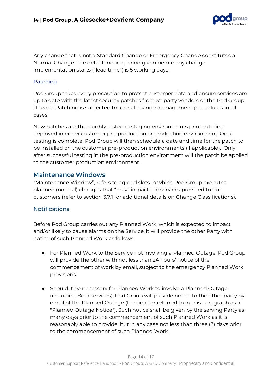

Any change that is not a Standard Change or Emergency Change constitutes a Normal Change. The default notice period given before any change implementation starts ("lead time") is 5 working days.

#### Patching

Pod Group takes every precaution to protect customer data and ensure services are up to date with the latest security patches from 3<sup>rd</sup> party vendors or the Pod Group IT team. Patching is subjected to formal change management procedures in all cases.

New patches are thoroughly tested in staging environments prior to being deployed in either customer pre-production or production environment. Once testing is complete, Pod Group will then schedule a date and time for the patch to be installed on the customer pre-production environments (if applicable). Only after successful testing in the pre-production environment will the patch be applied to the customer production environment.

## <span id="page-13-0"></span>Maintenance Windows

"Maintenance Window", refers to agreed slots in which Pod Group executes planned (normal) changes that "may" impact the services provided to our customers (refer to section 3.7.1 for additional details on Change Classifications).

## <span id="page-13-1"></span>Notifications

Before Pod Group carries out any Planned Work, which is expected to impact and/or likely to cause alarms on the Service, it will provide the other Party with notice of such Planned Work as follows:

- For Planned Work to the Service not involving a Planned Outage, Pod Group will provide the other with not less than 24 hours' notice of the commencement of work by email, subject to the emergency Planned Work provisions.
- Should it be necessary for Planned Work to involve a Planned Outage (including Beta services), Pod Group will provide notice to the other party by email of the Planned Outage (hereinafter referred to in this paragraph as a "Planned Outage Notice"). Such notice shall be given by the serving Party as many days prior to the commencement of such Planned Work as it is reasonably able to provide, but in any case not less than three (3) days prior to the commencement of such Planned Work.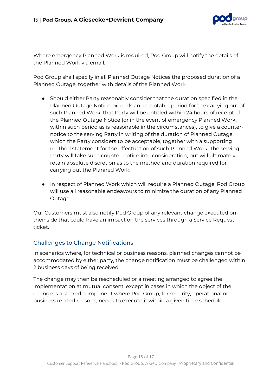

Where emergency Planned Work is required, Pod Group will notify the details of the Planned Work via email.

Pod Group shall specify in all Planned Outage Notices the proposed duration of a Planned Outage, together with details of the Planned Work.

- Should either Party reasonably consider that the duration specified in the Planned Outage Notice exceeds an acceptable period for the carrying out of such Planned Work, that Party will be entitled within 24 hours of receipt of the Planned Outage Notice (or in the event of emergency Planned Work, within such period as is reasonable in the circumstances), to give a counternotice to the serving Party in writing of the duration of Planned Outage which the Party considers to be acceptable, together with a supporting method statement for the effectuation of such Planned Work. The serving Party will take such counter-notice into consideration, but will ultimately retain absolute discretion as to the method and duration required for carrying out the Planned Work.
- In respect of Planned Work which will require a Planned Outage, Pod Group will use all reasonable endeavours to minimize the duration of any Planned Outage.

Our Customers must also notify Pod Group of any relevant change executed on their side that could have an impact on the services through a Service Request ticket.

## <span id="page-14-0"></span>Challenges to Change Notifications

In scenarios where, for technical or business reasons, planned changes cannot be accommodated by either party, the change notification must be challenged within 2 business days of being received.

The change may then be rescheduled or a meeting arranged to agree the implementation at mutual consent, except in cases in which the object of the change is a shared component where Pod Group, for security, operational or business related reasons, needs to execute it within a given time schedule.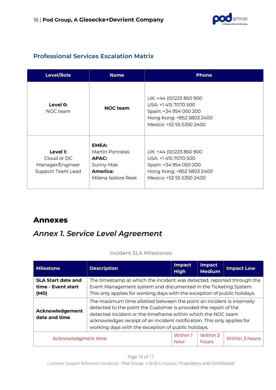

## <span id="page-15-0"></span>Professional Services Escalation Matrix

| <b>Level/Role</b>                                                | <b>Name</b>                                                                       | <b>Phone</b>                                                                                                                       |
|------------------------------------------------------------------|-----------------------------------------------------------------------------------|------------------------------------------------------------------------------------------------------------------------------------|
| Level 0:<br>NOC team                                             | <b>NOC team</b>                                                                   | UK: +44 (0)1223 850 900<br>USA: +1 415 7070 500<br>Spain: +34 954 050 200<br>Hong Kong: +852 5803 2400<br>Mexico: +52 55 5350 2400 |
| Level 1:<br>Cloud or DC<br>Manager/Engineer<br>Support Team Lead | EMEA:<br>Martin Poncelas<br>APAC:<br>Sunny Mak<br>America:<br>Milena Isidore Resk | UK: +44 (0)1223 850 900<br>USA: +1 415 7070 500<br>Spain: +34 954 050 200<br>Hong Kong: +852 5803 2400<br>Mexico: +52 55 5350 2400 |

# Annexes

# *Annex 1. Service Level Agreement*

#### Incident SLA Milestones

| <b>Milestone</b>                                        | <b>Description</b>                                                                                                                                                                                                                                                                                                                          | <b>Impact</b><br><b>High</b> | <b>Impact</b><br><b>Medium</b> | <b>Impact Low</b> |
|---------------------------------------------------------|---------------------------------------------------------------------------------------------------------------------------------------------------------------------------------------------------------------------------------------------------------------------------------------------------------------------------------------------|------------------------------|--------------------------------|-------------------|
| <b>SLA Start date and</b><br>time - Event start<br>(M0) | The timestamp at which the incident was detected, reported through the<br>Event Management system and documented in the Ticketing System.<br>This only applies for working days with the exception of public holidays.                                                                                                                      |                              |                                |                   |
| Acknowledgement<br>date and time                        | The maximum time allotted between the point an incident is internally<br>detected to the point the Customer is provided the report of the<br>detected incident or the timeframe within which the NOC team<br>acknowledges receipt of an Incident notification. This only applies for<br>working days with the exception of public holidays. |                              |                                |                   |
| Acknowledgment time                                     |                                                                                                                                                                                                                                                                                                                                             | Within 1<br>hour             | Within 2<br>hours              | Within 3 hours    |